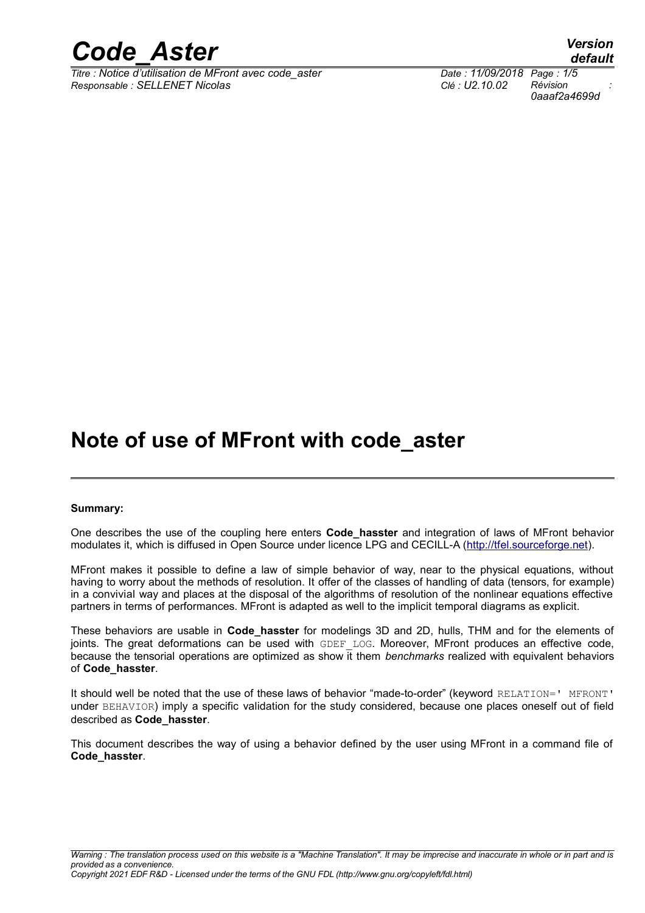*Titre : Notice d'utilisation de MFront avec code\_aster Date : 11/09/2018 Page : 1/5 Responsable : SELLENET Nicolas Clé : U2.10.02 Révision :*

*0aaaf2a4699d*

## **Note of use of MFront with code\_aster**

#### **Summary:**

One describes the use of the coupling here enters **Code\_hasster** and integration of laws of MFront behavior modulates it, which is diffused in Open Source under licence LPG and CECILL-A [\(http://tfel.sourceforge.net\)](http://tfel.sourceforge.net/).

MFront makes it possible to define a law of simple behavior of way, near to the physical equations, without having to worry about the methods of resolution. It offer of the classes of handling of data (tensors, for example) in a convivial way and places at the disposal of the algorithms of resolution of the nonlinear equations effective partners in terms of performances. MFront is adapted as well to the implicit temporal diagrams as explicit.

These behaviors are usable in **Code\_hasster** for modelings 3D and 2D, hulls, THM and for the elements of joints. The great deformations can be used with GDEF LOG. Moreover, MFront produces an effective code, because the tensorial operations are optimized as show it them *benchmarks* realized with equivalent behaviors of **Code\_hasster**.

It should well be noted that the use of these laws of behavior "made-to-order" (keyword RELATION=' MFRONT' under BEHAVIOR) imply a specific validation for the study considered, because one places oneself out of field described as **Code\_hasster**.

This document describes the way of using a behavior defined by the user using MFront in a command file of **Code\_hasster**.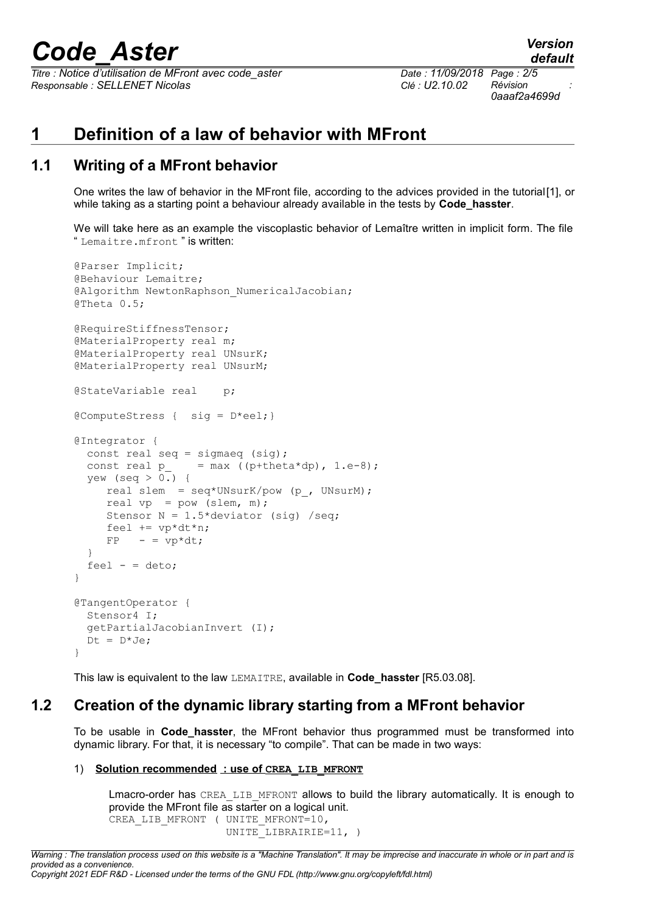*Titre : Notice d'utilisation de MFront avec code\_aster Date : 11/09/2018 Page : 2/5 Responsable : SELLENET Nicolas Clé : U2.10.02 Révision :*

*0aaaf2a4699d*

## **1 Definition of a law of behavior with MFront**

## **1.1 Writing of a MFront behavior**

One writes the law of behavior in the MFront file, according to the advices provided in the tutorial[\[1\],](#page-4-0) or while taking as a starting point a behaviour already available in the tests by **Code\_hasster**.

We will take here as an example the viscoplastic behavior of Lemaître written in implicit form. The file " Lemaitre.mfront " is written:

```
@Parser Implicit;
@Behaviour Lemaitre;
@Algorithm NewtonRaphson NumericalJacobian;
@Theta 0.5;
@RequireStiffnessTensor;
@MaterialProperty real m;
@MaterialProperty real UNsurK;
@MaterialProperty real UNsurM;
@StateVariable real p;
@ComputeStress { sig = D*eel;}
@Integrator {
  const real seq = sigmaeq (sig);<br>const real p = max ((p+thet
                    = max ((p+theta*dp), 1.e-8);
  yew (seq > 0.) {
      real slem = seq*UNsurK/pow (p_, UNsurM);
     real vp = pow (slem, m);
     Stensor N = 1.5*deviator (sig) /seq;
     feel += v p * dt * n;FP - = vp*dt;
   }
  feel - = deto;}
@TangentOperator {
   Stensor4 I;
   getPartialJacobianInvert (I);
  Dt = D*Je;}
```
This law is equivalent to the law LEMAITRE, available in **Code\_hasster** [R5.03.08].

### **1.2 Creation of the dynamic library starting from a MFront behavior**

To be usable in **Code\_hasster**, the MFront behavior thus programmed must be transformed into dynamic library. For that, it is necessary "to compile". That can be made in two ways:

#### 1) **Solution recommended : use of CREA LIB MFRONT**

Lmacro-order has CREA\_LIB\_MFRONT allows to build the library automatically. It is enough to provide the MFront file as starter on a logical unit. CREA LIB\_MFRONT ( UNITE MFRONT=10, UNITE LIBRAIRIE=11, )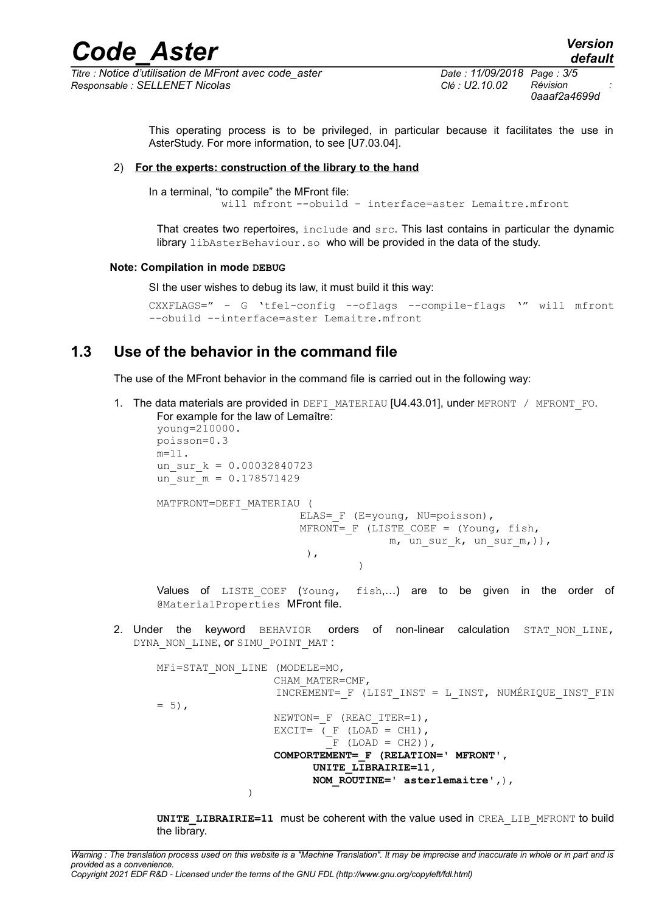*Titre : Notice d'utilisation de MFront avec code\_aster Date : 11/09/2018 Page : 3/5 Responsable : SELLENET Nicolas Clé : U2.10.02 Révision :*

*0aaaf2a4699d*

This operating process is to be privileged, in particular because it facilitates the use in AsterStudy. For more information, to see [U7.03.04].

#### 2) **For the experts: construction of the library to the hand**

In a terminal, "to compile" the MFront file: will mfront --obuild – interface=aster Lemaitre.mfront

That creates two repertoires, include and src. This last contains in particular the dynamic library libAsterBehaviour.so who will be provided in the data of the study.

#### **Note: Compilation in mode DEBUG**

SI the user wishes to debug its law, it must build it this way:

```
CXXFLAGS=" - G 'tfel-config --oflags --compile-flags '" will mfront
--obuild --interface=aster Lemaitre.mfront
```
### **1.3 Use of the behavior in the command file**

The use of the MFront behavior in the command file is carried out in the following way:

1. The data materials are provided in DEFI\_MATERIAU [U4.43.01], under MFRONT / MFRONT FO. For example for the law of Lemaître: young=210000. poisson=0.3  $m=11$ . un sur  $k = 0.00032840723$ un sur  $m = 0.178571429$ MATFRONT=DEFI\_MATERIAU ( ELAS= F (E=young, NU=poisson), MFRONT=  $F$  (LISTE COEF = (Young, fish,  $m$ , un sur k, un sur m,)),  $\left( \frac{1}{2} \right)$ ,  $)$ 

Values of LISTE COEF (Young, fish,...) are to be given in the order of @MaterialProperties MFront file.

2. Under the keyword BEHAVIOR orders of non-linear calculation STAT\_NON\_LINE, DYNA NON LINE, OT SIMU POINT MAT :

```
MFi=STAT_NON_LINE (MODELE=MO,
                   CHAM_MATER=CMF,
                  INCREMENT= F (LIST INST = L INST, NUMÉRIQUE INST FIN
= 5),
                  NEWTON= F (REAC ITER=1),
                  EXCIT= (F (LOAD = CH1)),\bar{F} (LOAD = CH2)),
                   COMPORTEMENT=_F (RELATION=' MFRONT',
                        UNITE LIBRAIRIE=11,
                        NOM ROUTINE=' asterlemaitre',),
)
```
**UNITE\_LIBRAIRIE=11** must be coherent with the value used in CREA\_LIB\_MFRONT to build the library.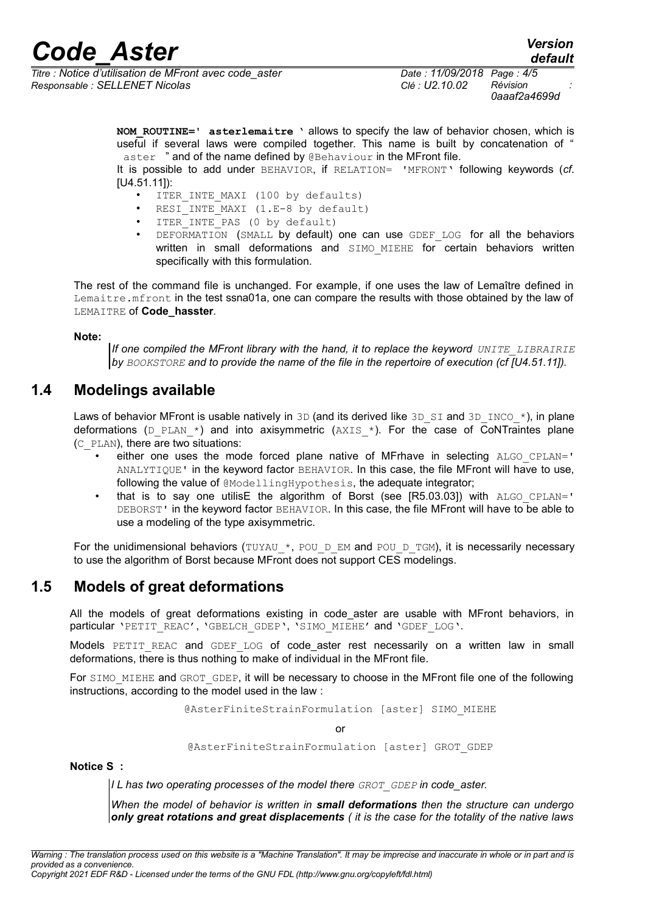*Titre : Notice d'utilisation de MFront avec code\_aster Date : 11/09/2018 Page : 4/5 Responsable : SELLENET Nicolas Clé : U2.10.02 Révision :*

*default*

**NOM\_ROUTINE=' asterlemaitre** ' allows to specify the law of behavior chosen, which is useful if several laws were compiled together. This name is built by concatenation of " aster " and of the name defined by @Behaviour in the MFront file.

It is possible to add under BEHAVIOR, if RELATION= 'MFRONT' following keywords (*cf.* [U4.51.11]):

- ITER INTE MAXI (100 by defaults)
- RESI INTE MAXI (1.E-8 by default)
- ITER INTE PAS (0 by default)
- DEFORMATION (SMALL by default) one can use GDEF LOG for all the behaviors written in small deformations and SIMO\_MIEHE for certain behaviors written specifically with this formulation.

The rest of the command file is unchanged. For example, if one uses the law of Lemaître defined in Lemaitre.mfront in the test ssna01a, one can compare the results with those obtained by the law of LEMAITRE of **Code\_hasster***.*

#### **Note:**

*If one compiled the MFront library with the hand, it to replace the keyword UNITE LIBRAIRIE by BOOKSTORE and to provide the name of the file in the repertoire of execution (cf [U4.51.11]).*

### **1.4 Modelings available**

Laws of behavior MFront is usable natively in 3D (and its derived like 3D SI and 3D INCO  $*$ ), in plane deformations ( $D$  PLAN  $*$ ) and into axisymmetric (AXIS  $*$ ). For the case of CoNTraintes plane (C\_PLAN), there are two situations:

- either one uses the mode forced plane native of MFrhave in selecting ALGO\_CPLAN=' ANALYTIQUE' in the keyword factor BEHAVIOR. In this case, the file MFront will have to use, following the value of @ModellingHypothesis, the adequate integrator;
- that is to say one utilisE the algorithm of Borst (see  $[R5.03.03]$ ) with  $ALGO$  CPLAN=' DEBORST' in the keyword factor BEHAVIOR. In this case, the file MFront will have to be able to use a modeling of the type axisymmetric.

For the unidimensional behaviors (TUYAU \*, POU D EM and POU D TGM), it is necessarily necessary to use the algorithm of Borst because MFront does not support CES modelings.

### **1.5 Models of great deformations**

All the models of great deformations existing in code aster are usable with MFront behaviors, in particular 'PETIT\_REAC', 'GBELCH\_GDEP', 'SIMO\_MIEHE' and 'GDEF\_LOG'.

Models PETIT REAC and GDEF LOG of code\_aster rest necessarily on a written law in small deformations, there is thus nothing to make of individual in the MFront file.

For SIMO MIEHE and GROT GDEP, it will be necessary to choose in the MFront file one of the following instructions, according to the model used in the law :

@AsterFiniteStrainFormulation [aster] SIMO\_MIEHE

or

@AsterFiniteStrainFormulation [aster] GROT\_GDEP

**Notice S :**

*I L has two operating processes of the model there GROT\_GDEP in code\_aster.*

*When the model of behavior is written in small deformations then the structure can undergo only great rotations and great displacements ( it is the case for the totality of the native laws*